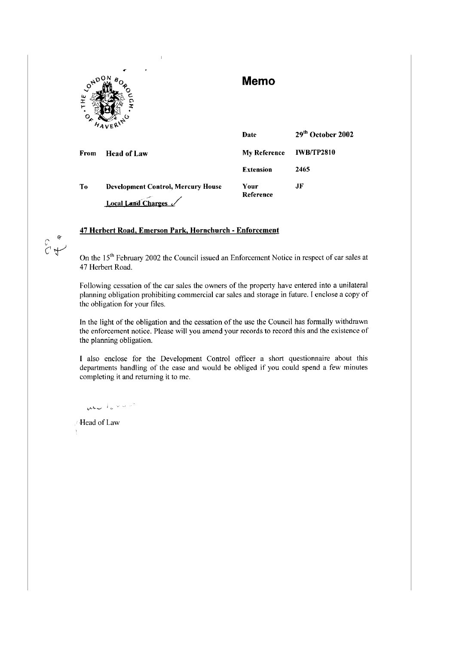

 $\sigma$  $\begin{pmatrix} 1 & 1 \\ 1 & 1 \end{pmatrix}$ 

# **Memo**

|                | $74V$ EK'                                                       | Date                | 29 <sup>th</sup> October 2002 |
|----------------|-----------------------------------------------------------------|---------------------|-------------------------------|
| From           | <b>Head of Law</b>                                              | <b>My Reference</b> | <b>IWB/TP2810</b>             |
|                |                                                                 | <b>Extension</b>    | 2465                          |
| T <sub>0</sub> | <b>Development Control, Mercury House</b><br>Local Land Charges | Your<br>Reference   | JF                            |

# **47 Herbert Road, Emerson Park, Hornchurch - Enforcement**

On the 15<sup>th</sup> February 2002 the Council issued an Enforcement Notice in respect of car sales at 47 Herbert Road.

Following cessation of the car sales the owners of the property have entered into a unilateral planning obligation prohibiting commercial car sales and storage in future. I enclose a copy of the obligation for your files.

In the light of the obligation and the cessation of the use the Council has formally withdrawn the enforcement notice. Please will you amend your records to record this and the existence of the planning obligation.

I also enclose for the Development Control officer a short questionnaire about this departments handling of the case and would be obliged if you could spend a few minutes completing it and returning it to me.

who lever

Head of Law  $\mathfrak i$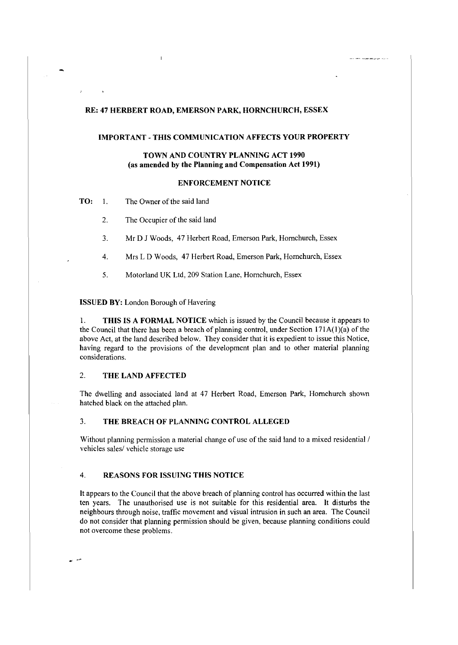## RE: 47 HERBERT ROAD, EMERSON PARK, HORNCHURCH, ESSEX

## IMPORTANT - THIS COMMUNICATION AFFECTS YOUR PROPERTY

## TOWN AND COUNTRY PLANNING ACT 1990 (as amended by the Planning and Compensation Act 1991)

#### ENFORCEMENT NOTICE

TO: I. The Owner of the said land

2. The Occupier of the said land

3. Mr DJ Woods, 47 Herbert Road, Emerson Park, Homchurch, Essex

4. Mrs L D Woods, 47 Herbert Road, Emerson Park, Homchurch, Essex

5. Motorland UK Ltd, 209 Station Lane, Homchurch, Essex

ISSUED BY: London Borough of Havering

1. THIS IS A FORMAL NOTICE which is issued by the Council because it appears to the Council that there has been a breach of planning control, under Section  $171A(1)(a)$  of the above Act, at the land described below. They consider that it is expedient to issue this Notice, having regard to the provisions of the development plan and to other material planning considerations.

# 2. THE LAND AFFECTED

The dwelling and associated land at 47 Herbert Road, Emerson Park, Homchurch shown hatched black on the attached plan.

#### 3. THE BREACH OF PLANNING CONTROL ALLEGED

Without planning permission a material change of use of the said land to a mixed residential / vehicles sales/ vehicle storage use

## 4. REASONS FOR ISSUING THIS NOTICE

It appears to the Council that the above breach of planning control has occurred within the last ten years. The unauthorised use is not suitable for this residential area. It disturbs the neighbours through noise, traffic movement and visual intrusion in such an area. The Council do not consider that planning permission should be given, because planning conditions could not overcome these problems.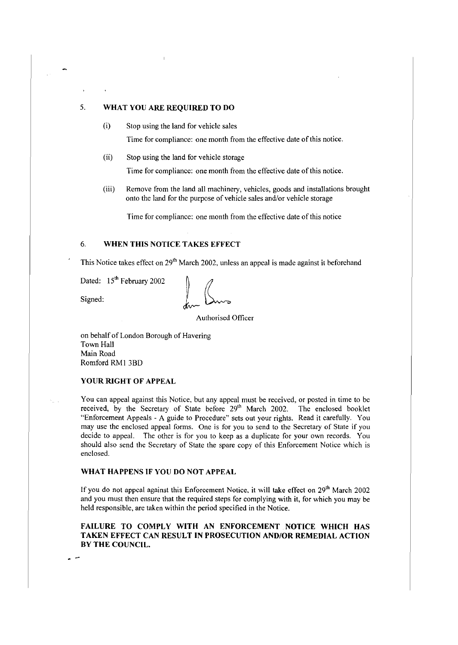# 5. **WHAT YOU ARE REQUIRED TO DO**

(i) Stop using the land for vehicle sales

Time for compliance: one month from the effective date of this notice.

(ii) Stop using the land for vehicle storage

Time for compliance: one month from the effective date of this notice.

(iii) Remove from the land all machinery, vehicles, goods and installations brought onto the land for the purpose of vehicle sales and/or vehicle storage

Time for compliance: one month from the effective date of this notice

# 6. **WHEN THIS NOTICE TAKES EFFECT**

This Notice takes effect on 29<sup>th</sup> March 2002, unless an appeal is made against it beforehand

Dated:  $15^{th}$  February 2002<br>Signed:  $\int_{\mathcal{U}\sim\mathcal{U}}\int_{\mathcal{U}\sim\mathcal{U}}$ 

Authorised Officer

on behalf of London Borough of Havering Town Hall Main Road Romford RMI 3BD

# **YOUR RIGHT OF APPEAL**

You can appeal against this Notice, but any appeal must be received, or posted in time to be received, by the Secretary of State before 29<sup>th</sup> March 2002. The enclosed booklet "Enforcement Appeals - A guide to Procedure" sets out your rights. Read it carefully. You may use the enclosed appeal forms. One is for you to send to the Secretary of State if you decide to appeal. The other is for you to keep as a duplicate for your own records. You should also send the Secretary of State the spare copy of this Enforcement Notice which is enclosed.

## **WHAT HAPPENS IF YOU DO NOT APPEAL**

If you do not appeal against this Enforcement Notice, it will take effect on 29<sup>th</sup> March 2002 and you must then ensure that the required steps for complying with **it,** for which you may be held responsible, are taken within the period specified in the Notice.

## **FAILURE TO COMPLY WITH AN ENFORCEMENT NOTICE WHICH HAS TAKEN EFFECT CAN RESULT IN PROSECUTION AND/OR REMEDIAL ACTION BY THE COUNCIL.**